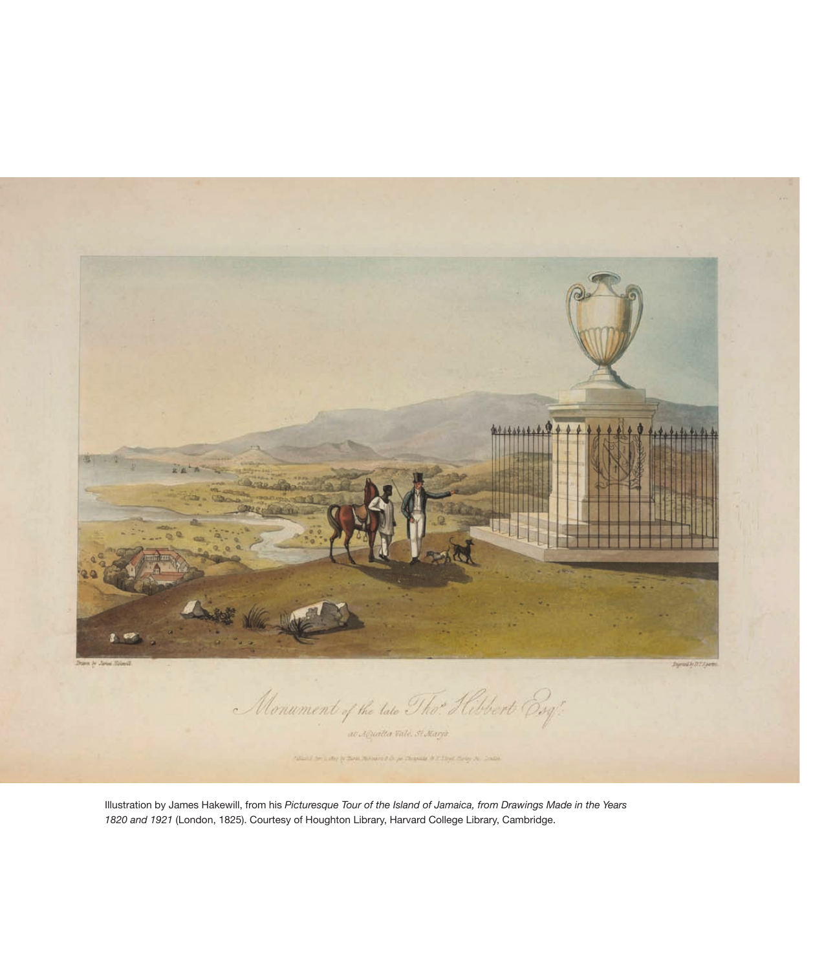

Illustration by James Hakewill, from his *Picturesque Tour of the Island of Jamaica, from Drawings Made in the Years 1820 and 1921* (London, 1825). Courtesy of Houghton Library, Harvard College Library, Cambridge.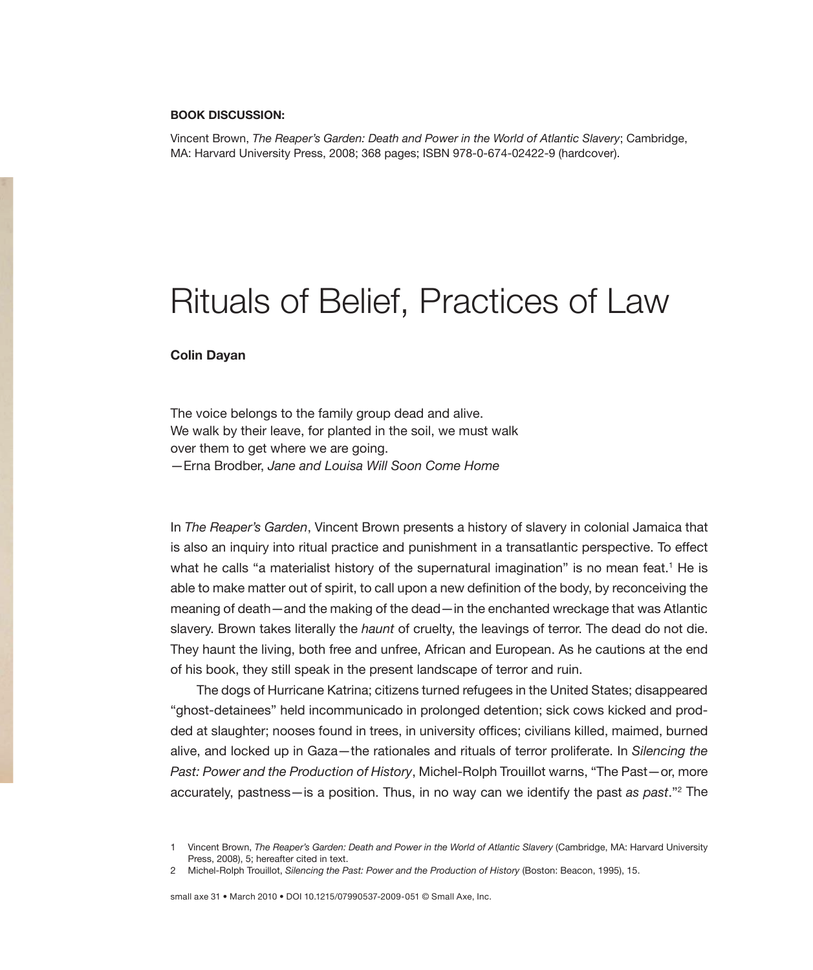## **BOOK DISCUSSION:**

Vincent Brown, *The Reaper's Garden: Death and Power in the World of Atlantic Slavery*; Cambridge, MA: Harvard University Press, 2008; 368 pages; ISBN 978-0-674-02422-9 (hardcover).

## Rituals of Belief, Practices of Law

## **Colin Dayan**

The voice belongs to the family group dead and alive. We walk by their leave, for planted in the soil, we must walk over them to get where we are going. —Erna Brodber, *Jane and Louisa Will Soon Come Home*

In *The Reaper's Garden*, Vincent Brown presents a history of slavery in colonial Jamaica that is also an inquiry into ritual practice and punishment in a transatlantic perspective. To effect what he calls "a materialist history of the supernatural imagination" is no mean feat.<sup>1</sup> He is able to make matter out of spirit, to call upon a new definition of the body, by reconceiving the meaning of death—and the making of the dead—in the enchanted wreckage that was Atlantic slavery. Brown takes literally the *haunt* of cruelty, the leavings of terror. The dead do not die. They haunt the living, both free and unfree, African and European. As he cautions at the end of his book, they still speak in the present landscape of terror and ruin.

The dogs of Hurricane Katrina; citizens turned refugees in the United States; disappeared "ghost-detainees" held incommunicado in prolonged detention; sick cows kicked and prodded at slaughter; nooses found in trees, in university offices; civilians killed, maimed, burned alive, and locked up in Gaza—the rationales and rituals of terror proliferate. In *Silencing the Past: Power and the Production of History*, Michel-Rolph Trouillot warns, "The Past—or, more accurately, pastness—is a position. Thus, in no way can we identify the past *as past*."2 The

small axe 31 • March 2010 • DOI 10.1215/07990537-2009-051 © Small Axe, Inc.

<sup>1</sup> Vincent Brown, *The Reaper's Garden: Death and Power in the World of Atlantic Slavery* (Cambridge, MA: Harvard University Press, 2008), 5; hereafter cited in text.

<sup>2</sup> Michel-Rolph Trouillot, *Silencing the Past: Power and the Production of History* (Boston: Beacon, 1995), 15.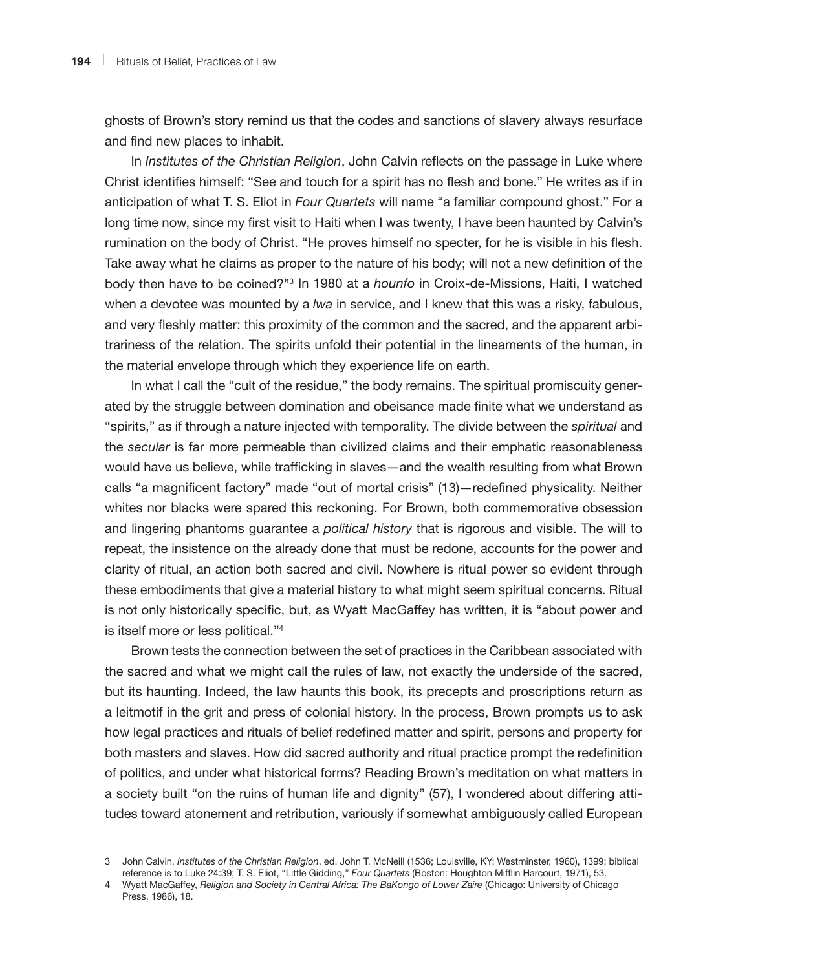ghosts of Brown's story remind us that the codes and sanctions of slavery always resurface and find new places to inhabit.

In *Institutes of the Christian Religion*, John Calvin reflects on the passage in Luke where Christ identifies himself: "See and touch for a spirit has no flesh and bone." He writes as if in anticipation of what T. S. Eliot in *Four Quartets* will name "a familiar compound ghost." For a long time now, since my first visit to Haiti when I was twenty, I have been haunted by Calvin's rumination on the body of Christ. "He proves himself no specter, for he is visible in his flesh. Take away what he claims as proper to the nature of his body; will not a new definition of the body then have to be coined?"3 In 1980 at a *hounfo* in Croix-de-Missions, Haiti, I watched when a devotee was mounted by a *lwa* in service, and I knew that this was a risky, fabulous, and very fleshly matter: this proximity of the common and the sacred, and the apparent arbitrariness of the relation. The spirits unfold their potential in the lineaments of the human, in the material envelope through which they experience life on earth.

In what I call the "cult of the residue," the body remains. The spiritual promiscuity generated by the struggle between domination and obeisance made finite what we understand as "spirits," as if through a nature injected with temporality. The divide between the *spiritual* and the *secular* is far more permeable than civilized claims and their emphatic reasonableness would have us believe, while trafficking in slaves—and the wealth resulting from what Brown calls "a magnificent factory" made "out of mortal crisis" (13)—redefined physicality. Neither whites nor blacks were spared this reckoning. For Brown, both commemorative obsession and lingering phantoms guarantee a *political history* that is rigorous and visible. The will to repeat, the insistence on the already done that must be redone, accounts for the power and clarity of ritual, an action both sacred and civil. Nowhere is ritual power so evident through these embodiments that give a material history to what might seem spiritual concerns. Ritual is not only historically specific, but, as Wyatt MacGaffey has written, it is "about power and is itself more or less political."4

Brown tests the connection between the set of practices in the Caribbean associated with the sacred and what we might call the rules of law, not exactly the underside of the sacred, but its haunting. Indeed, the law haunts this book, its precepts and proscriptions return as a leitmotif in the grit and press of colonial history. In the process, Brown prompts us to ask how legal practices and rituals of belief redefined matter and spirit, persons and property for both masters and slaves. How did sacred authority and ritual practice prompt the redefinition of politics, and under what historical forms? Reading Brown's meditation on what matters in a society built "on the ruins of human life and dignity" (57), I wondered about differing attitudes toward atonement and retribution, variously if somewhat ambiguously called European

<sup>3</sup> John Calvin, *Institutes of the Christian Religion*, ed. John T. McNeill (1536; Louisville, KY: Westminster, 1960), 1399; biblical reference is to Luke 24:39; T. S. Eliot, "Little Gidding," *Four Quartets* (Boston: Houghton Mifflin Harcourt, 1971), 53.

<sup>4</sup> Wyatt MacGaffey, *Religion and Society in Central Africa: The BaKongo of Lower Zaire* (Chicago: University of Chicago Press, 1986), 18.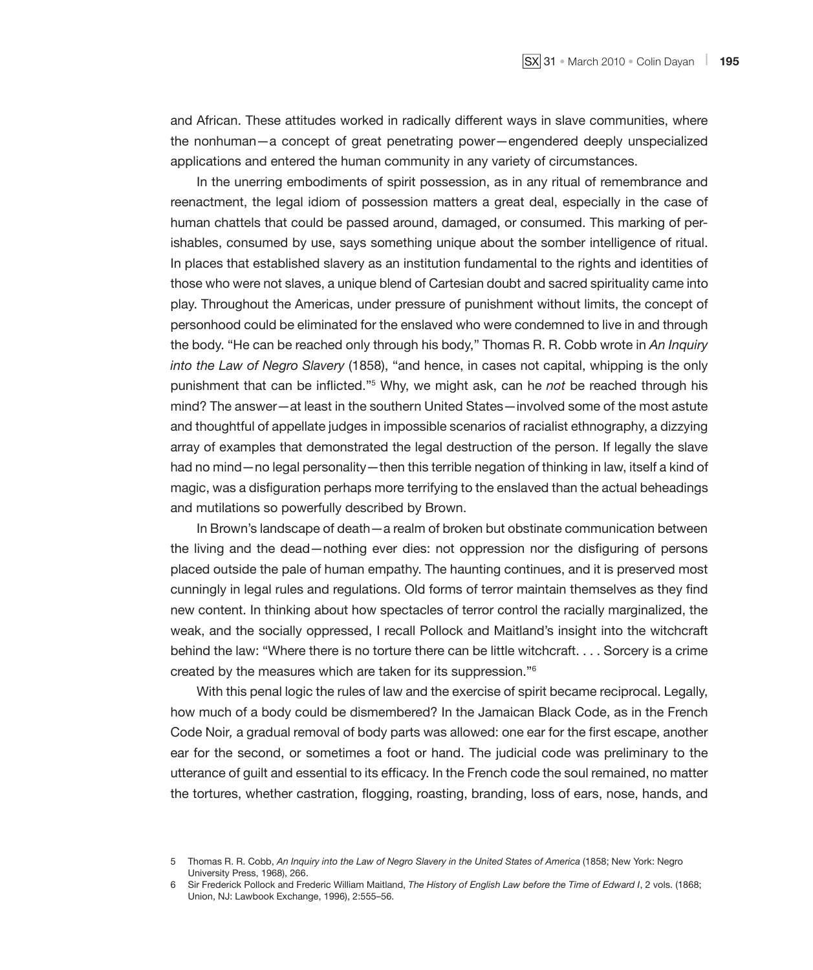and African. These attitudes worked in radically different ways in slave communities, where the nonhuman—a concept of great penetrating power—engendered deeply unspecialized applications and entered the human community in any variety of circumstances.

In the unerring embodiments of spirit possession, as in any ritual of remembrance and reenactment, the legal idiom of possession matters a great deal, especially in the case of human chattels that could be passed around, damaged, or consumed. This marking of perishables, consumed by use, says something unique about the somber intelligence of ritual. In places that established slavery as an institution fundamental to the rights and identities of those who were not slaves, a unique blend of Cartesian doubt and sacred spirituality came into play. Throughout the Americas, under pressure of punishment without limits, the concept of personhood could be eliminated for the enslaved who were condemned to live in and through the body. "He can be reached only through his body," Thomas R. R. Cobb wrote in *An Inquiry into the Law of Negro Slavery* (1858), "and hence, in cases not capital, whipping is the only punishment that can be inflicted."5 Why, we might ask, can he *not* be reached through his mind? The answer—at least in the southern United States—involved some of the most astute and thoughtful of appellate judges in impossible scenarios of racialist ethnography, a dizzying array of examples that demonstrated the legal destruction of the person. If legally the slave had no mind—no legal personality—then this terrible negation of thinking in law, itself a kind of magic, was a disfiguration perhaps more terrifying to the enslaved than the actual beheadings and mutilations so powerfully described by Brown.

In Brown's landscape of death—a realm of broken but obstinate communication between the living and the dead—nothing ever dies: not oppression nor the disfiguring of persons placed outside the pale of human empathy. The haunting continues, and it is preserved most cunningly in legal rules and regulations. Old forms of terror maintain themselves as they find new content. In thinking about how spectacles of terror control the racially marginalized, the weak, and the socially oppressed, I recall Pollock and Maitland's insight into the witchcraft behind the law: "Where there is no torture there can be little witchcraft. . . . Sorcery is a crime created by the measures which are taken for its suppression."6

With this penal logic the rules of law and the exercise of spirit became reciprocal. Legally, how much of a body could be dismembered? In the Jamaican Black Code, as in the French Code Noir*,* a gradual removal of body parts was allowed: one ear for the first escape, another ear for the second, or sometimes a foot or hand. The judicial code was preliminary to the utterance of guilt and essential to its efficacy. In the French code the soul remained, no matter the tortures, whether castration, flogging, roasting, branding, loss of ears, nose, hands, and

<sup>5</sup> Thomas R. R. Cobb, *An Inquiry into the Law of Negro Slavery in the United States of America* (1858; New York: Negro University Press, 1968), 266.

<sup>6</sup> Sir Frederick Pollock and Frederic William Maitland, *The History of English Law before the Time of Edward I*, 2 vols. (1868; Union, NJ: Lawbook Exchange, 1996), 2:555–56.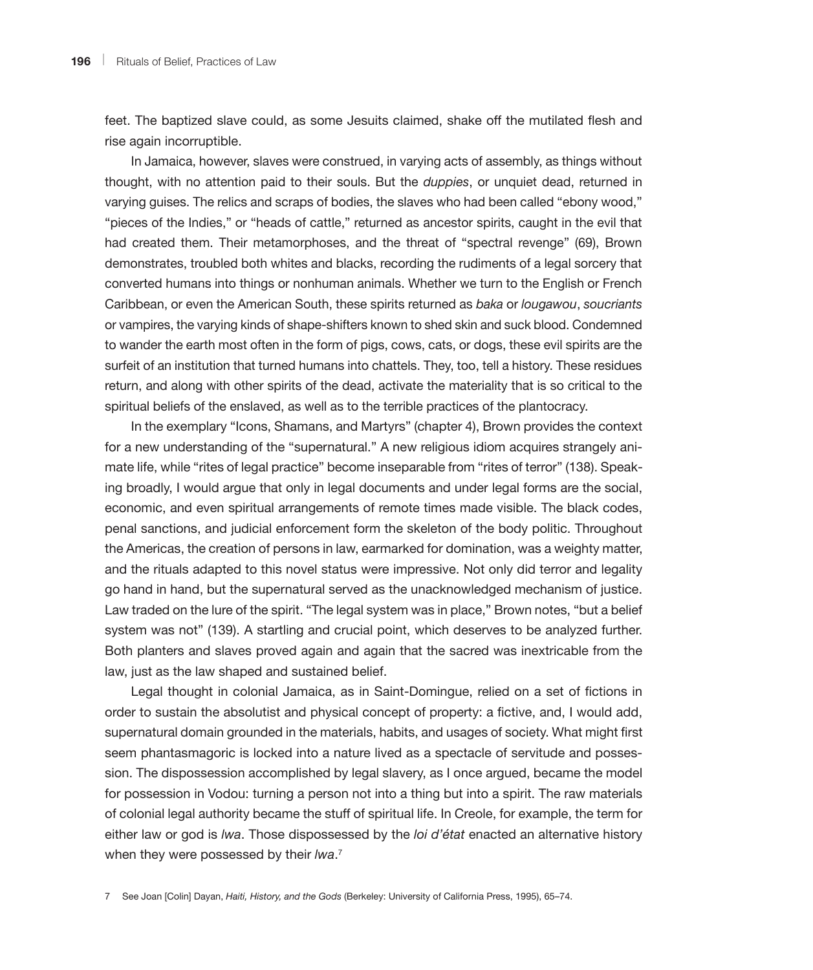feet. The baptized slave could, as some Jesuits claimed, shake off the mutilated flesh and rise again incorruptible.

In Jamaica, however, slaves were construed, in varying acts of assembly, as things without thought, with no attention paid to their souls. But the *duppies*, or unquiet dead, returned in varying guises. The relics and scraps of bodies, the slaves who had been called "ebony wood," "pieces of the Indies," or "heads of cattle," returned as ancestor spirits, caught in the evil that had created them. Their metamorphoses, and the threat of "spectral revenge" (69), Brown demonstrates, troubled both whites and blacks, recording the rudiments of a legal sorcery that converted humans into things or nonhuman animals. Whether we turn to the English or French Caribbean, or even the American South, these spirits returned as *baka* or *lougawou*, *soucriants* or vampires, the varying kinds of shape-shifters known to shed skin and suck blood. Condemned to wander the earth most often in the form of pigs, cows, cats, or dogs, these evil spirits are the surfeit of an institution that turned humans into chattels. They, too, tell a history. These residues return, and along with other spirits of the dead, activate the materiality that is so critical to the spiritual beliefs of the enslaved, as well as to the terrible practices of the plantocracy.

In the exemplary "Icons, Shamans, and Martyrs" (chapter 4), Brown provides the context for a new understanding of the "supernatural." A new religious idiom acquires strangely animate life, while "rites of legal practice" become inseparable from "rites of terror" (138). Speaking broadly, I would argue that only in legal documents and under legal forms are the social, economic, and even spiritual arrangements of remote times made visible. The black codes, penal sanctions, and judicial enforcement form the skeleton of the body politic. Throughout the Americas, the creation of persons in law, earmarked for domination, was a weighty matter, and the rituals adapted to this novel status were impressive. Not only did terror and legality go hand in hand, but the supernatural served as the unacknowledged mechanism of justice. Law traded on the lure of the spirit. "The legal system was in place," Brown notes, "but a belief system was not" (139). A startling and crucial point, which deserves to be analyzed further. Both planters and slaves proved again and again that the sacred was inextricable from the law, just as the law shaped and sustained belief.

Legal thought in colonial Jamaica, as in Saint-Domingue, relied on a set of fictions in order to sustain the absolutist and physical concept of property: a fictive, and, I would add, supernatural domain grounded in the materials, habits, and usages of society. What might first seem phantasmagoric is locked into a nature lived as a spectacle of servitude and possession. The dispossession accomplished by legal slavery, as I once argued, became the model for possession in Vodou: turning a person not into a thing but into a spirit. The raw materials of colonial legal authority became the stuff of spiritual life. In Creole, for example, the term for either law or god is *lwa*. Those dispossessed by the *loi d'état* enacted an alternative history when they were possessed by their *lwa*. 7

7 See Joan [Colin] Dayan, *Haiti, History, and the Gods* (Berkeley: University of California Press, 1995), 65–74.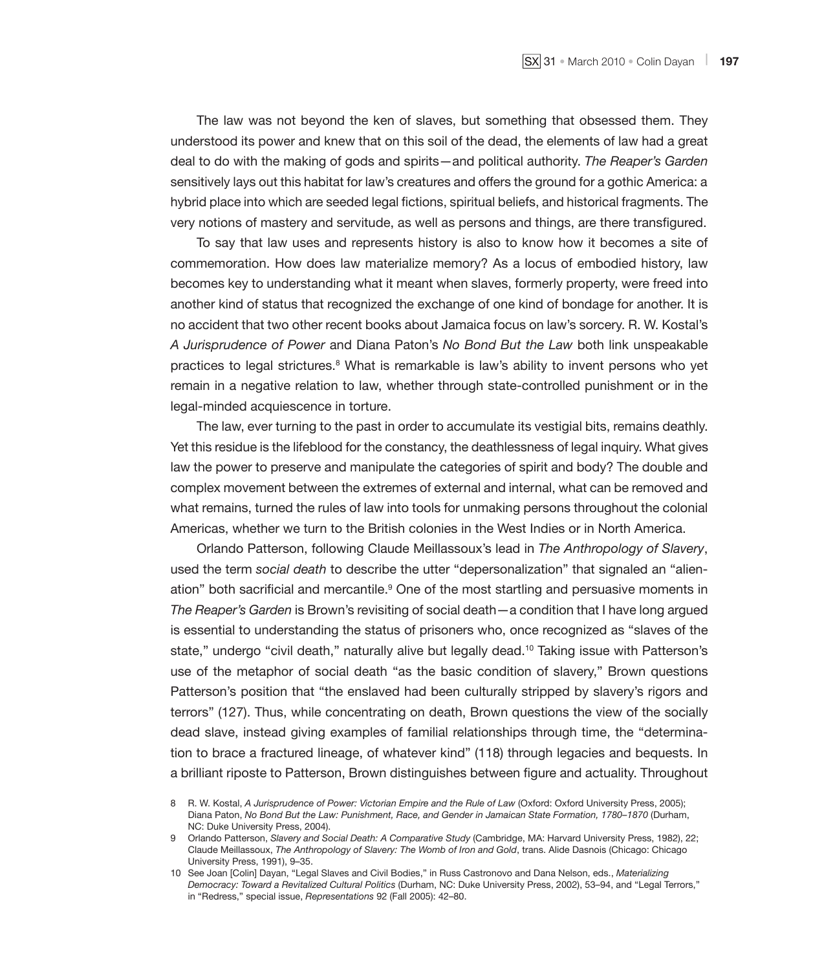The law was not beyond the ken of slaves, but something that obsessed them. They understood its power and knew that on this soil of the dead, the elements of law had a great deal to do with the making of gods and spirits—and political authority. *The Reaper's Garden*  sensitively lays out this habitat for law's creatures and offers the ground for a gothic America: a hybrid place into which are seeded legal fictions, spiritual beliefs, and historical fragments. The very notions of mastery and servitude, as well as persons and things, are there transfigured.

To say that law uses and represents history is also to know how it becomes a site of commemoration. How does law materialize memory? As a locus of embodied history, law becomes key to understanding what it meant when slaves, formerly property, were freed into another kind of status that recognized the exchange of one kind of bondage for another. It is no accident that two other recent books about Jamaica focus on law's sorcery. R. W. Kostal's *A Jurisprudence of Power* and Diana Paton's *No Bond But the Law* both link unspeakable practices to legal strictures.<sup>8</sup> What is remarkable is law's ability to invent persons who yet remain in a negative relation to law, whether through state-controlled punishment or in the legal-minded acquiescence in torture.

The law, ever turning to the past in order to accumulate its vestigial bits, remains deathly. Yet this residue is the lifeblood for the constancy, the deathlessness of legal inquiry. What gives law the power to preserve and manipulate the categories of spirit and body? The double and complex movement between the extremes of external and internal, what can be removed and what remains, turned the rules of law into tools for unmaking persons throughout the colonial Americas, whether we turn to the British colonies in the West Indies or in North America.

Orlando Patterson, following Claude Meillassoux's lead in *The Anthropology of Slavery*, used the term *social death* to describe the utter "depersonalization" that signaled an "alienation" both sacrificial and mercantile.<sup>9</sup> One of the most startling and persuasive moments in *The Reaper's Garden* is Brown's revisiting of social death—a condition that I have long argued is essential to understanding the status of prisoners who, once recognized as "slaves of the state," undergo "civil death," naturally alive but legally dead.<sup>10</sup> Taking issue with Patterson's use of the metaphor of social death "as the basic condition of slavery," Brown questions Patterson's position that "the enslaved had been culturally stripped by slavery's rigors and terrors" (127). Thus, while concentrating on death, Brown questions the view of the socially dead slave, instead giving examples of familial relationships through time, the "determination to brace a fractured lineage, of whatever kind" (118) through legacies and bequests. In a brilliant riposte to Patterson, Brown distinguishes between figure and actuality. Throughout

<sup>8</sup> R. W. Kostal, *A Jurisprudence of Power: Victorian Empire and the Rule of Law* (Oxford: Oxford University Press, 2005); Diana Paton, *No Bond But the Law: Punishment, Race, and Gender in Jamaican State Formation, 1780–1870* (Durham, NC: Duke University Press, 2004).

<sup>9</sup> Orlando Patterson, *Slavery and Social Death: A Comparative Study* (Cambridge, MA: Harvard University Press, 1982), 22; Claude Meillassoux, *The Anthropology of Slavery: The Womb of Iron and Gold*, trans. Alide Dasnois (Chicago: Chicago University Press, 1991), 9–35.

<sup>10</sup> See Joan [Colin] Dayan, "Legal Slaves and Civil Bodies," in Russ Castronovo and Dana Nelson, eds., *Materializing Democracy: Toward a Revitalized Cultural Politics* (Durham, NC: Duke University Press, 2002), 53–94, and "Legal Terrors," in "Redress," special issue, *Representations* 92 (Fall 2005): 42–80.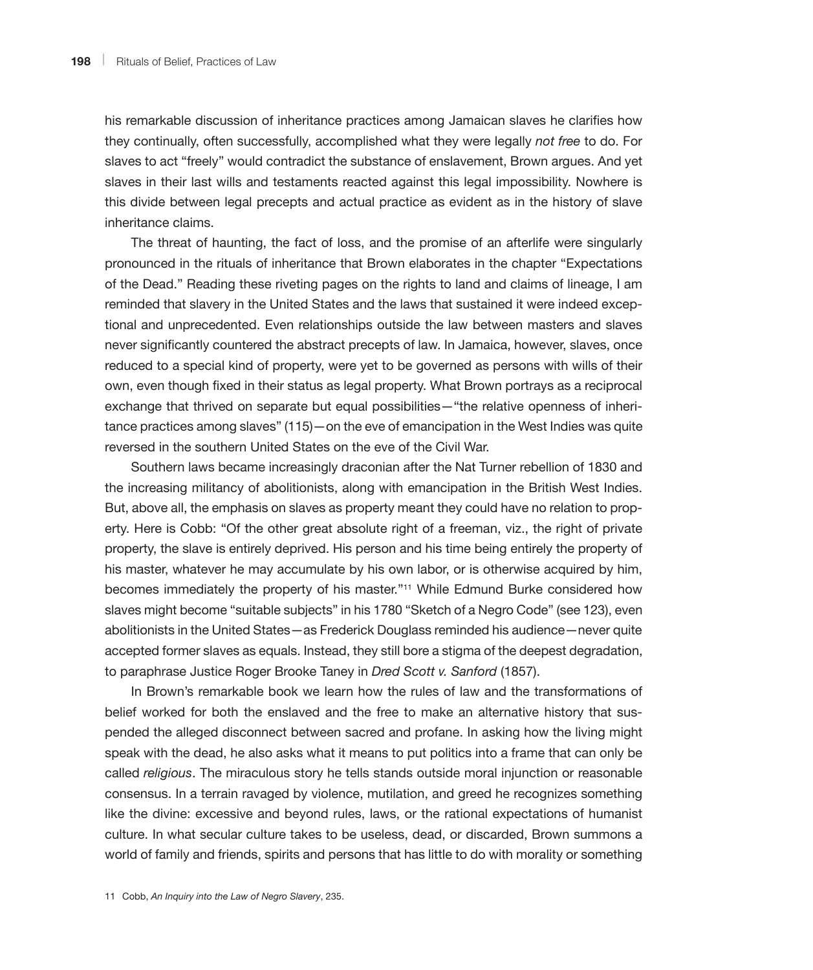his remarkable discussion of inheritance practices among Jamaican slaves he clarifies how they continually, often successfully, accomplished what they were legally *not free* to do. For slaves to act "freely" would contradict the substance of enslavement, Brown argues. And yet slaves in their last wills and testaments reacted against this legal impossibility. Nowhere is this divide between legal precepts and actual practice as evident as in the history of slave inheritance claims.

The threat of haunting, the fact of loss, and the promise of an afterlife were singularly pronounced in the rituals of inheritance that Brown elaborates in the chapter "Expectations of the Dead." Reading these riveting pages on the rights to land and claims of lineage, I am reminded that slavery in the United States and the laws that sustained it were indeed exceptional and unprecedented. Even relationships outside the law between masters and slaves never significantly countered the abstract precepts of law. In Jamaica, however, slaves, once reduced to a special kind of property, were yet to be governed as persons with wills of their own, even though fixed in their status as legal property. What Brown portrays as a reciprocal exchange that thrived on separate but equal possibilities—"the relative openness of inheritance practices among slaves" (115)—on the eve of emancipation in the West Indies was quite reversed in the southern United States on the eve of the Civil War.

Southern laws became increasingly draconian after the Nat Turner rebellion of 1830 and the increasing militancy of abolitionists, along with emancipation in the British West Indies. But, above all, the emphasis on slaves as property meant they could have no relation to property. Here is Cobb: "Of the other great absolute right of a freeman, viz., the right of private property, the slave is entirely deprived. His person and his time being entirely the property of his master, whatever he may accumulate by his own labor, or is otherwise acquired by him, becomes immediately the property of his master."11 While Edmund Burke considered how slaves might become "suitable subjects" in his 1780 "Sketch of a Negro Code" (see 123), even abolitionists in the United States—as Frederick Douglass reminded his audience—never quite accepted former slaves as equals. Instead, they still bore a stigma of the deepest degradation, to paraphrase Justice Roger Brooke Taney in *Dred Scott v. Sanford* (1857).

In Brown's remarkable book we learn how the rules of law and the transformations of belief worked for both the enslaved and the free to make an alternative history that suspended the alleged disconnect between sacred and profane. In asking how the living might speak with the dead, he also asks what it means to put politics into a frame that can only be called *religious*. The miraculous story he tells stands outside moral injunction or reasonable consensus. In a terrain ravaged by violence, mutilation, and greed he recognizes something like the divine: excessive and beyond rules, laws, or the rational expectations of humanist culture. In what secular culture takes to be useless, dead, or discarded, Brown summons a world of family and friends, spirits and persons that has little to do with morality or something